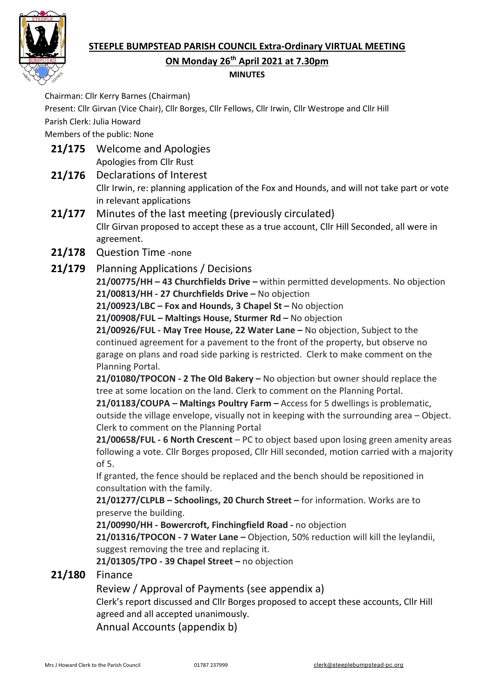

## **MINUTES**

Chairman: Cllr Kerry Barnes (Chairman)

Present: Cllr Girvan (Vice Chair), Cllr Borges, Cllr Fellows, Cllr Irwin, Cllr Westrope and Cllr Hill Parish Clerk: Julia Howard

Members of the public: None

- **21/175** Welcome and Apologies Apologies from Cllr Rust
- **21/176** Declarations of Interest

Cllr Irwin, re: planning application of the Fox and Hounds, and will not take part or vote in relevant applications

- **21/177** Minutes of the last meeting (previously circulated) Cllr Girvan proposed to accept these as a true account, Cllr Hill Seconded, all were in agreement.
- **21/178** Question Time -none
- **21/179** Planning Applications / Decisions

**21/00775/HH – 43 Churchfields Drive –** within permitted developments. No objection **21/00813/HH - 27 Churchfields Drive –** No objection

**21/00923/LBC – Fox and Hounds, 3 Chapel St –** No objection

**21/00908/FUL – Maltings House, Sturmer Rd –** No objection

**21/00926/FUL - May Tree House, 22 Water Lane –** No objection, Subject to the continued agreement for a pavement to the front of the property, but observe no garage on plans and road side parking is restricted. Clerk to make comment on the Planning Portal.

**21/01080/TPOCON - 2 The Old Bakery –** No objection but owner should replace the tree at some location on the land. Clerk to comment on the Planning Portal.

**21/01183/COUPA – Maltings Poultry Farm –** Access for 5 dwellings is problematic, outside the village envelope, visually not in keeping with the surrounding area – Object. Clerk to comment on the Planning Portal

**21/00658/FUL - 6 North Crescent** – PC to object based upon losing green amenity areas following a vote. Cllr Borges proposed, Cllr Hill seconded, motion carried with a majority of 5.

If granted, the fence should be replaced and the bench should be repositioned in consultation with the family.

**21/01277/CLPLB – Schoolings, 20 Church Street –** for information. Works are to preserve the building.

**21/00990/HH - Bowercroft, Finchingfield Road -** no objection

**21/01316/TPOCON - 7 Water Lane –** Objection, 50% reduction will kill the leylandii, suggest removing the tree and replacing it.

**21/01305/TPO - 39 Chapel Street –** no objection

## **21/180** Finance

Review / Approval of Payments (see appendix a)

Clerk's report discussed and Cllr Borges proposed to accept these accounts, Cllr Hill agreed and all accepted unanimously.

Annual Accounts (appendix b)